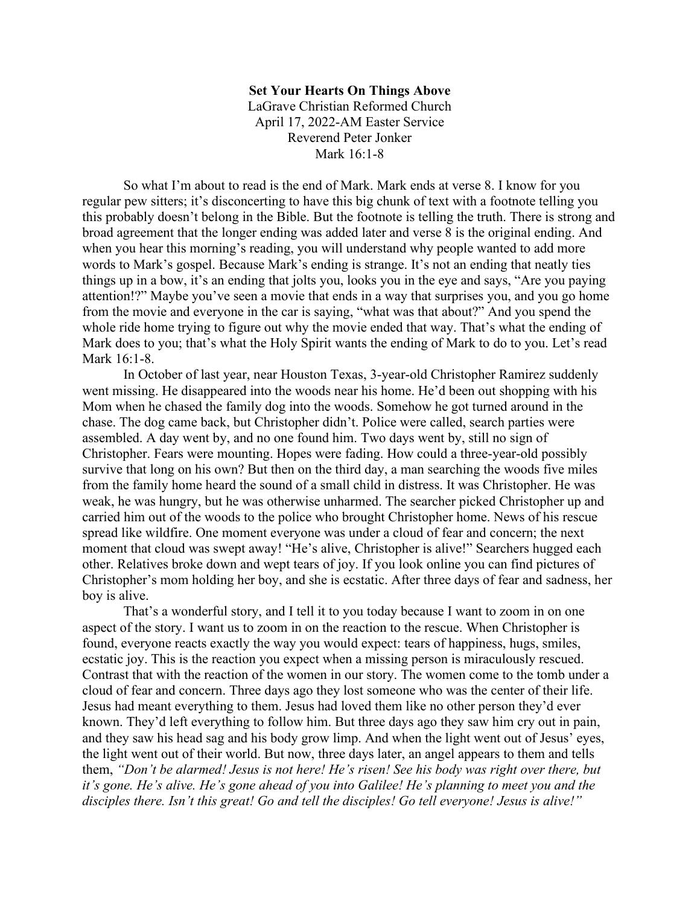## **Set Your Hearts On Things Above**

LaGrave Christian Reformed Church April 17, 2022-AM Easter Service Reverend Peter Jonker Mark 16:1-8

So what I'm about to read is the end of Mark. Mark ends at verse 8. I know for you regular pew sitters; it's disconcerting to have this big chunk of text with a footnote telling you this probably doesn't belong in the Bible. But the footnote is telling the truth. There is strong and broad agreement that the longer ending was added later and verse 8 is the original ending. And when you hear this morning's reading, you will understand why people wanted to add more words to Mark's gospel. Because Mark's ending is strange. It's not an ending that neatly ties things up in a bow, it's an ending that jolts you, looks you in the eye and says, "Are you paying attention!?" Maybe you've seen a movie that ends in a way that surprises you, and you go home from the movie and everyone in the car is saying, "what was that about?" And you spend the whole ride home trying to figure out why the movie ended that way. That's what the ending of Mark does to you; that's what the Holy Spirit wants the ending of Mark to do to you. Let's read Mark 16:1-8.

In October of last year, near Houston Texas, 3-year-old Christopher Ramirez suddenly went missing. He disappeared into the woods near his home. He'd been out shopping with his Mom when he chased the family dog into the woods. Somehow he got turned around in the chase. The dog came back, but Christopher didn't. Police were called, search parties were assembled. A day went by, and no one found him. Two days went by, still no sign of Christopher. Fears were mounting. Hopes were fading. How could a three-year-old possibly survive that long on his own? But then on the third day, a man searching the woods five miles from the family home heard the sound of a small child in distress. It was Christopher. He was weak, he was hungry, but he was otherwise unharmed. The searcher picked Christopher up and carried him out of the woods to the police who brought Christopher home. News of his rescue spread like wildfire. One moment everyone was under a cloud of fear and concern; the next moment that cloud was swept away! "He's alive, Christopher is alive!" Searchers hugged each other. Relatives broke down and wept tears of joy. If you look online you can find pictures of Christopher's mom holding her boy, and she is ecstatic. After three days of fear and sadness, her boy is alive.

That's a wonderful story, and I tell it to you today because I want to zoom in on one aspect of the story. I want us to zoom in on the reaction to the rescue. When Christopher is found, everyone reacts exactly the way you would expect: tears of happiness, hugs, smiles, ecstatic joy. This is the reaction you expect when a missing person is miraculously rescued. Contrast that with the reaction of the women in our story. The women come to the tomb under a cloud of fear and concern. Three days ago they lost someone who was the center of their life. Jesus had meant everything to them. Jesus had loved them like no other person they'd ever known. They'd left everything to follow him. But three days ago they saw him cry out in pain, and they saw his head sag and his body grow limp. And when the light went out of Jesus' eyes, the light went out of their world. But now, three days later, an angel appears to them and tells them, *"Don't be alarmed! Jesus is not here! He's risen! See his body was right over there, but it's gone. He's alive. He's gone ahead of you into Galilee! He's planning to meet you and the disciples there. Isn't this great! Go and tell the disciples! Go tell everyone! Jesus is alive!"*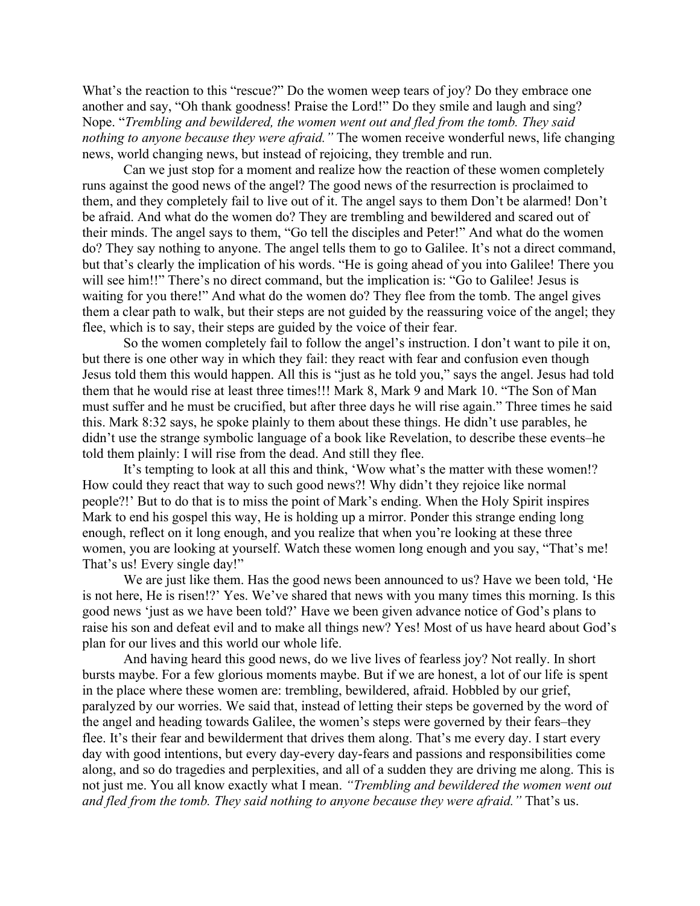What's the reaction to this "rescue?" Do the women weep tears of joy? Do they embrace one another and say, "Oh thank goodness! Praise the Lord!" Do they smile and laugh and sing? Nope. "*Trembling and bewildered, the women went out and fled from the tomb. They said nothing to anyone because they were afraid."* The women receive wonderful news, life changing news, world changing news, but instead of rejoicing, they tremble and run.

Can we just stop for a moment and realize how the reaction of these women completely runs against the good news of the angel? The good news of the resurrection is proclaimed to them, and they completely fail to live out of it. The angel says to them Don't be alarmed! Don't be afraid. And what do the women do? They are trembling and bewildered and scared out of their minds. The angel says to them, "Go tell the disciples and Peter!" And what do the women do? They say nothing to anyone. The angel tells them to go to Galilee. It's not a direct command, but that's clearly the implication of his words. "He is going ahead of you into Galilee! There you will see him!!" There's no direct command, but the implication is: "Go to Galilee! Jesus is waiting for you there!" And what do the women do? They flee from the tomb. The angel gives them a clear path to walk, but their steps are not guided by the reassuring voice of the angel; they flee, which is to say, their steps are guided by the voice of their fear.

So the women completely fail to follow the angel's instruction. I don't want to pile it on, but there is one other way in which they fail: they react with fear and confusion even though Jesus told them this would happen. All this is "just as he told you," says the angel. Jesus had told them that he would rise at least three times!!! Mark 8, Mark 9 and Mark 10. "The Son of Man must suffer and he must be crucified, but after three days he will rise again." Three times he said this. Mark 8:32 says, he spoke plainly to them about these things. He didn't use parables, he didn't use the strange symbolic language of a book like Revelation, to describe these events–he told them plainly: I will rise from the dead. And still they flee.

It's tempting to look at all this and think, 'Wow what's the matter with these women!? How could they react that way to such good news?! Why didn't they rejoice like normal people?!' But to do that is to miss the point of Mark's ending. When the Holy Spirit inspires Mark to end his gospel this way, He is holding up a mirror. Ponder this strange ending long enough, reflect on it long enough, and you realize that when you're looking at these three women, you are looking at yourself. Watch these women long enough and you say, "That's me! That's us! Every single day!"

We are just like them. Has the good news been announced to us? Have we been told, 'He is not here, He is risen!?' Yes. We've shared that news with you many times this morning. Is this good news 'just as we have been told?' Have we been given advance notice of God's plans to raise his son and defeat evil and to make all things new? Yes! Most of us have heard about God's plan for our lives and this world our whole life.

And having heard this good news, do we live lives of fearless joy? Not really. In short bursts maybe. For a few glorious moments maybe. But if we are honest, a lot of our life is spent in the place where these women are: trembling, bewildered, afraid. Hobbled by our grief, paralyzed by our worries. We said that, instead of letting their steps be governed by the word of the angel and heading towards Galilee, the women's steps were governed by their fears–they flee. It's their fear and bewilderment that drives them along. That's me every day. I start every day with good intentions, but every day-every day-fears and passions and responsibilities come along, and so do tragedies and perplexities, and all of a sudden they are driving me along. This is not just me. You all know exactly what I mean. *"Trembling and bewildered the women went out and fled from the tomb. They said nothing to anyone because they were afraid."* That's us.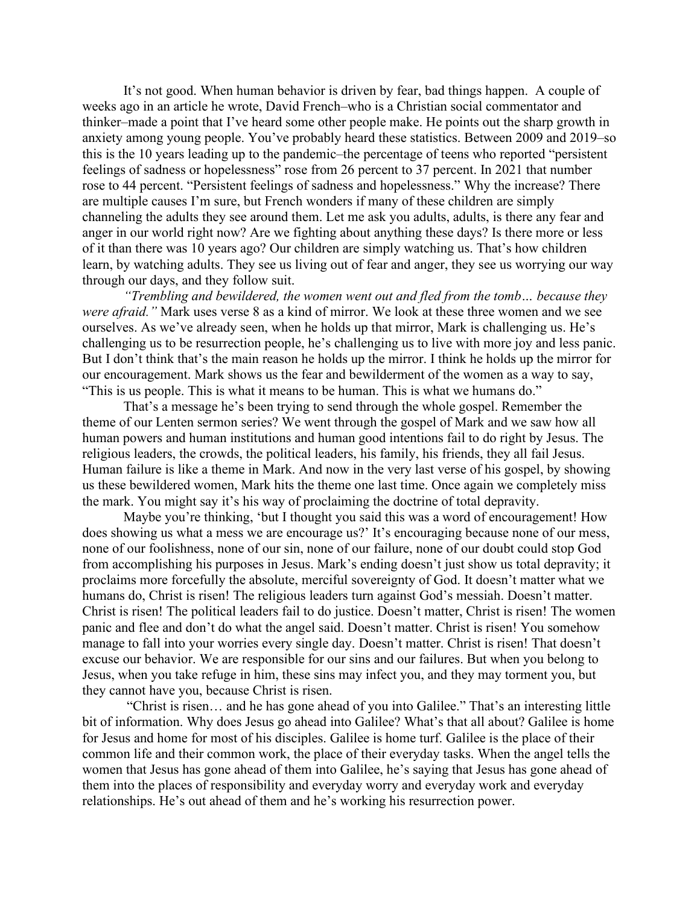It's not good. When human behavior is driven by fear, bad things happen. A couple of weeks ago in an article he wrote, David French–who is a Christian social commentator and thinker–made a point that I've heard some other people make. He points out the sharp growth in anxiety among young people. You've probably heard these statistics. Between 2009 and 2019–so this is the 10 years leading up to the pandemic–the percentage of teens who reported "persistent feelings of sadness or hopelessness" rose from 26 percent to 37 percent. In 2021 that number rose to 44 percent. "Persistent feelings of sadness and hopelessness." Why the increase? There are multiple causes I'm sure, but French wonders if many of these children are simply channeling the adults they see around them. Let me ask you adults, adults, is there any fear and anger in our world right now? Are we fighting about anything these days? Is there more or less of it than there was 10 years ago? Our children are simply watching us. That's how children learn, by watching adults. They see us living out of fear and anger, they see us worrying our way through our days, and they follow suit.

*"Trembling and bewildered, the women went out and fled from the tomb… because they were afraid."* Mark uses verse 8 as a kind of mirror. We look at these three women and we see ourselves. As we've already seen, when he holds up that mirror, Mark is challenging us. He's challenging us to be resurrection people, he's challenging us to live with more joy and less panic. But I don't think that's the main reason he holds up the mirror. I think he holds up the mirror for our encouragement. Mark shows us the fear and bewilderment of the women as a way to say, "This is us people. This is what it means to be human. This is what we humans do."

That's a message he's been trying to send through the whole gospel. Remember the theme of our Lenten sermon series? We went through the gospel of Mark and we saw how all human powers and human institutions and human good intentions fail to do right by Jesus. The religious leaders, the crowds, the political leaders, his family, his friends, they all fail Jesus. Human failure is like a theme in Mark. And now in the very last verse of his gospel, by showing us these bewildered women, Mark hits the theme one last time. Once again we completely miss the mark. You might say it's his way of proclaiming the doctrine of total depravity.

Maybe you're thinking, 'but I thought you said this was a word of encouragement! How does showing us what a mess we are encourage us?' It's encouraging because none of our mess, none of our foolishness, none of our sin, none of our failure, none of our doubt could stop God from accomplishing his purposes in Jesus. Mark's ending doesn't just show us total depravity; it proclaims more forcefully the absolute, merciful sovereignty of God. It doesn't matter what we humans do, Christ is risen! The religious leaders turn against God's messiah. Doesn't matter. Christ is risen! The political leaders fail to do justice. Doesn't matter, Christ is risen! The women panic and flee and don't do what the angel said. Doesn't matter. Christ is risen! You somehow manage to fall into your worries every single day. Doesn't matter. Christ is risen! That doesn't excuse our behavior. We are responsible for our sins and our failures. But when you belong to Jesus, when you take refuge in him, these sins may infect you, and they may torment you, but they cannot have you, because Christ is risen.

"Christ is risen… and he has gone ahead of you into Galilee." That's an interesting little bit of information. Why does Jesus go ahead into Galilee? What's that all about? Galilee is home for Jesus and home for most of his disciples. Galilee is home turf. Galilee is the place of their common life and their common work, the place of their everyday tasks. When the angel tells the women that Jesus has gone ahead of them into Galilee, he's saying that Jesus has gone ahead of them into the places of responsibility and everyday worry and everyday work and everyday relationships. He's out ahead of them and he's working his resurrection power.